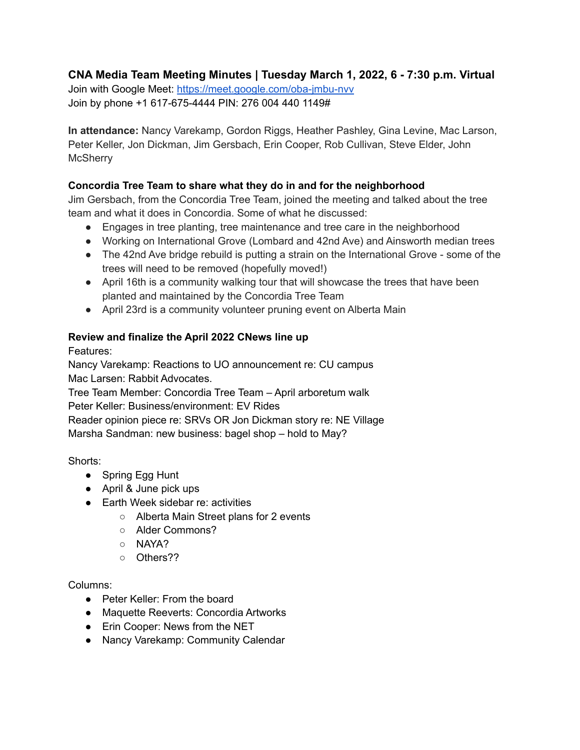# **CNA Media Team Meeting Minutes | Tuesday March 1, 2022, 6 - 7:30 p.m. Virtual**

Join with Google Meet: <https://meet.google.com/oba-jmbu-nvv> Join by phone +1 617-675-4444 PIN: 276 004 440 1149#

**In attendance:** Nancy Varekamp, Gordon Riggs, Heather Pashley, Gina Levine, Mac Larson, Peter Keller, Jon Dickman, Jim Gersbach, Erin Cooper, Rob Cullivan, Steve Elder, John **McSherry** 

# **Concordia Tree Team to share what they do in and for the neighborhood**

Jim Gersbach, from the Concordia Tree Team, joined the meeting and talked about the tree team and what it does in Concordia. Some of what he discussed:

- Engages in tree planting, tree maintenance and tree care in the neighborhood
- Working on International Grove (Lombard and 42nd Ave) and Ainsworth median trees
- The 42nd Ave bridge rebuild is putting a strain on the International Grove some of the trees will need to be removed (hopefully moved!)
- April 16th is a community walking tour that will showcase the trees that have been planted and maintained by the Concordia Tree Team
- April 23rd is a community volunteer pruning event on Alberta Main

# **Review and finalize the April 2022 CNews line up**

Features:

Nancy Varekamp: Reactions to UO announcement re: CU campus Mac Larsen: Rabbit Advocates.

Tree Team Member: Concordia Tree Team – April arboretum walk Peter Keller: Business/environment: EV Rides Reader opinion piece re: SRVs OR Jon Dickman story re: NE Village Marsha Sandman: new business: bagel shop – hold to May?

Shorts:

- Spring Egg Hunt
- April & June pick ups
- Earth Week sidebar re: activities
	- Alberta Main Street plans for 2 events
	- Alder Commons?
	- NAYA?
	- Others??

Columns:

- Peter Keller: From the board
- Maquette Reeverts: Concordia Artworks
- Erin Cooper: News from the NET
- Nancy Varekamp: Community Calendar